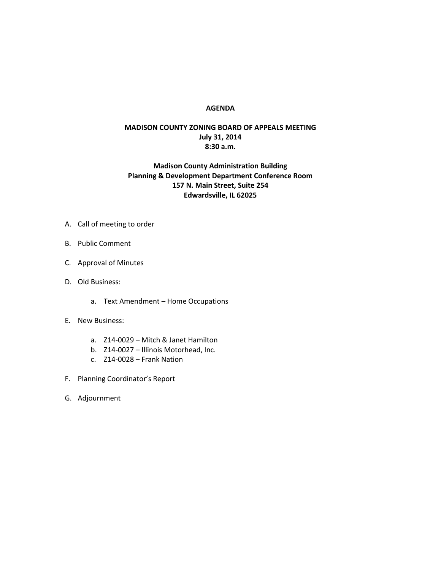## **AGENDA**

## **MADISON COUNTY ZONING BOARD OF APPEALS MEETING July 31, 2014 8:30 a.m.**

## **Madison County Administration Building Planning & Development Department Conference Room 157 N. Main Street, Suite 254 Edwardsville, IL 62025**

- A. Call of meeting to order
- B. Public Comment
- C. Approval of Minutes
- D. Old Business:
	- a. Text Amendment Home Occupations
- E. New Business:
	- a. Z14-0029 Mitch & Janet Hamilton
	- b. Z14-0027 Illinois Motorhead, Inc.
	- c. Z14-0028 Frank Nation
- F. Planning Coordinator's Report
- G. Adjournment